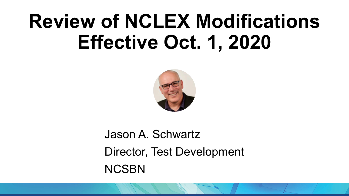# **Review of NCLEX Modifications Effective Oct. 1, 2020**



Jason A. Schwartz Director, Test Development **NCSBN**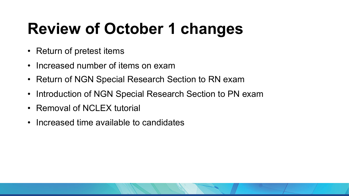## **Review of October 1 changes**

- Return of pretest items
- Increased number of items on exam
- Return of NGN Special Research Section to RN exam
- Introduction of NGN Special Research Section to PN exam
- Removal of NCLEX tutorial
- Increased time available to candidates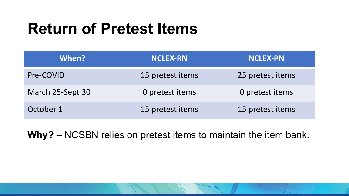#### **Return of Pretest Items**

| When?            | <b>NCLEX-RN</b>  | <b>NCLEX-PN</b>  |
|------------------|------------------|------------------|
| Pre-COVID        | 15 pretest items | 25 pretest items |
| March 25-Sept 30 | 0 pretest items  | 0 pretest items  |
| October 1        | 15 pretest items | 15 pretest items |

**Why?** – NCSBN relies on pretest items to maintain the item bank.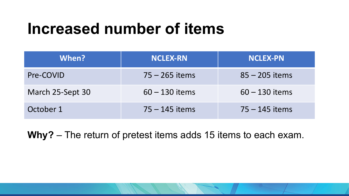#### **Increased number of items**

| When?            | <b>NCLEX-RN</b>  | <b>NCLEX-PN</b>  |
|------------------|------------------|------------------|
| Pre-COVID        | $75 - 265$ items | $85 - 205$ items |
| March 25-Sept 30 | $60 - 130$ items | $60 - 130$ items |
| October 1        | $75 - 145$ items | $75 - 145$ items |

**Why?** – The return of pretest items adds 15 items to each exam.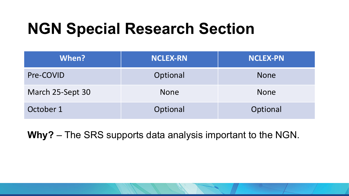### **NGN Special Research Section**

| When?            | <b>NCLEX-RN</b> | <b>NCLEX-PN</b> |
|------------------|-----------------|-----------------|
| Pre-COVID        | Optional        | <b>None</b>     |
| March 25-Sept 30 | <b>None</b>     | <b>None</b>     |
| October 1        | Optional        | Optional        |

**Why?** – The SRS supports data analysis important to the NGN.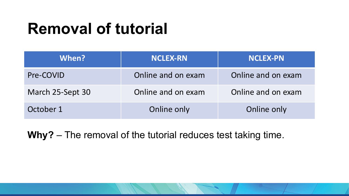### **Removal of tutorial**

| When?            | <b>NCLEX-RN</b>    | <b>NCLEX-PN</b>    |
|------------------|--------------------|--------------------|
| Pre-COVID        | Online and on exam | Online and on exam |
| March 25-Sept 30 | Online and on exam | Online and on exam |
| October 1        | Online only        | Online only        |

**Why?** – The removal of the tutorial reduces test taking time.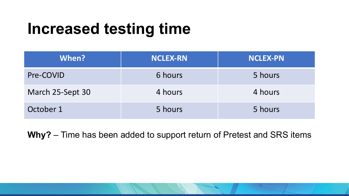### **Increased testing time**

| When?            | <b>NCLEX-RN</b> | <b>NCLEX-PN</b> |
|------------------|-----------------|-----------------|
| Pre-COVID        | 6 hours         | 5 hours         |
| March 25-Sept 30 | 4 hours         | 4 hours         |
| October 1        | 5 hours         | 5 hours         |

**Why?** – Time has been added to support return of Pretest and SRS items